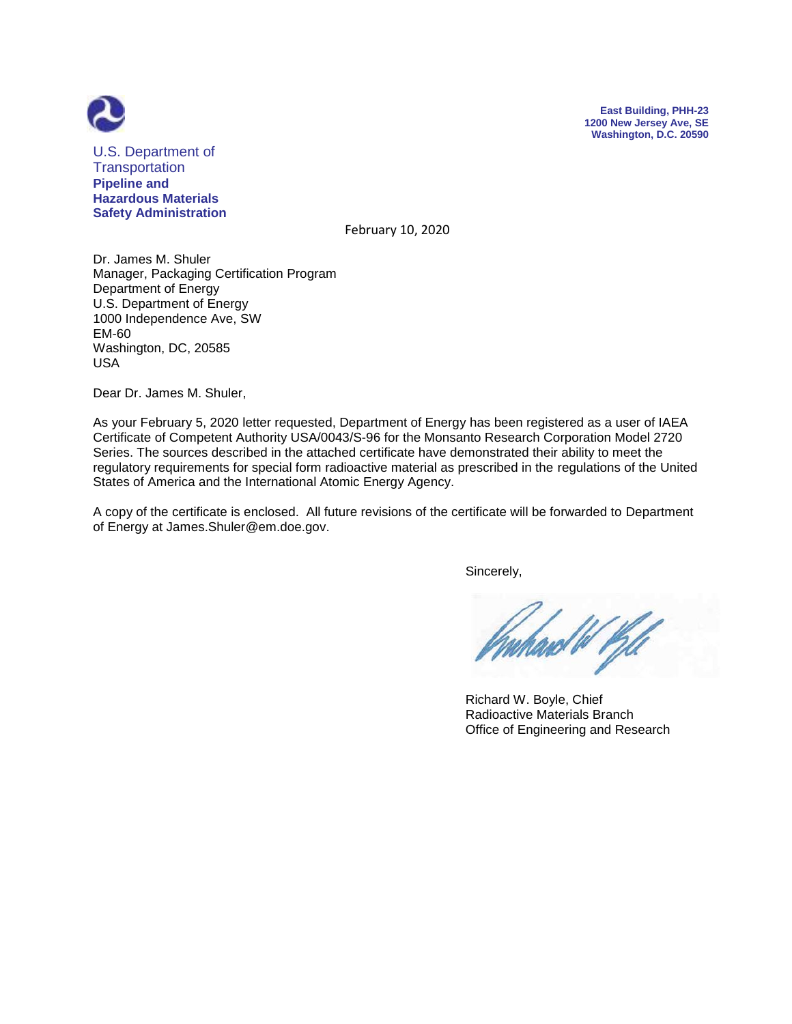



U.S. Department of **Transportation Pipeline and Hazardous Materials Safety Administration**

February 10, 2020

Dr. James M. Shuler Manager, Packaging Certification Program Department of Energy U.S. Department of Energy 1000 Independence Ave, SW EM-60 Washington, DC, 20585 USA

Dear Dr. James M. Shuler,

As your February 5, 2020 letter requested, Department of Energy has been registered as a user of IAEA Certificate of Competent Authority USA/0043/S-96 for the Monsanto Research Corporation Model 2720 Series. The sources described in the attached certificate have demonstrated their ability to meet the regulatory requirements for special form radioactive material as prescribed in the regulations of the United States of America and the International Atomic Energy Agency.

A copy of the certificate is enclosed. All future revisions of the certificate will be forwarded to Department of Energy at James.Shuler@em.doe.gov.

Sincerely,

ard W Kil

 Richard W. Boyle, Chief Radioactive Materials Branch Office of Engineering and Research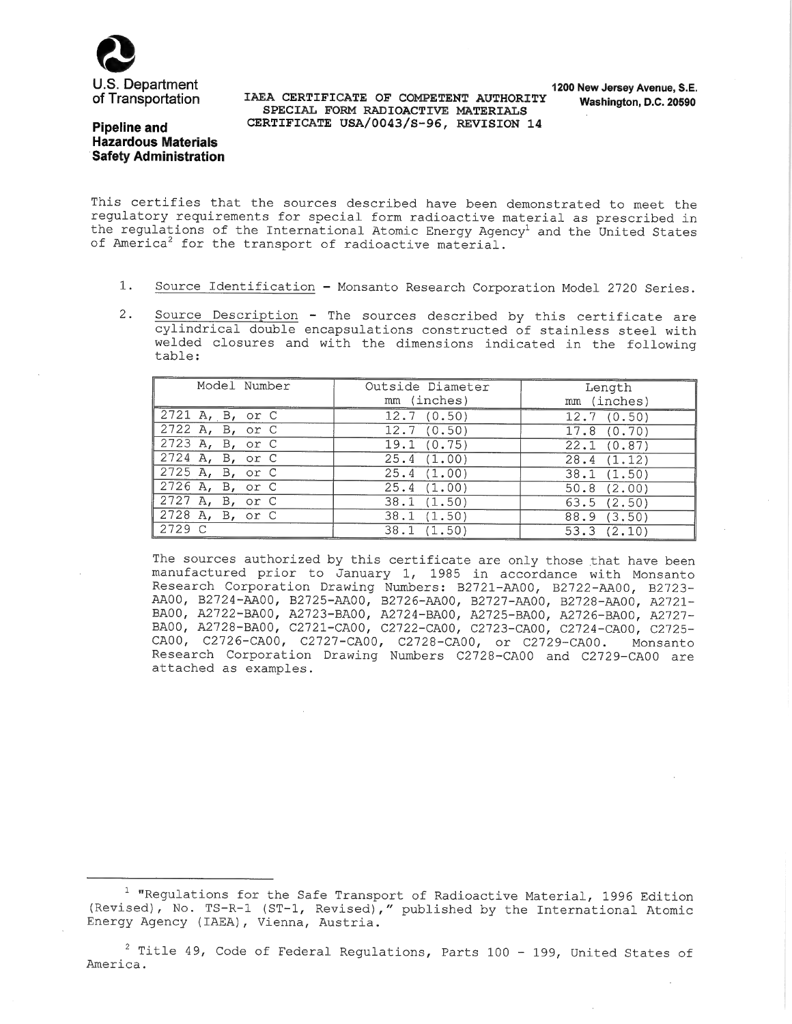

IAEA CERTIFICATE OF COMPETENT AUTHORITY SPECIAL FORM RADIOACTIVE MATERIALS CERTIFICATE USA/0043/S-96, REVISION 14

## **Pipeline and Hazardous Materials Safety Administration**

This certifies that the sources described have been demonstrated to meet the regulatory requirements for special form radioactive material as prescribed in the regulations of the International Atomic Energy Agency<sup>1</sup> and the United States of America<sup>2</sup> for the transport of radioactive material.

- $1.$ Source Identification - Monsanto Research Corporation Model 2720 Series.
- $2.$ Source Description - The sources described by this certificate are cylindrical double encapsulations constructed of stainless steel with welded closures and with the dimensions indicated in the following table:

| Model Number                 | Outside Diameter<br>mm (inches) | Length<br>mm (inches)    |
|------------------------------|---------------------------------|--------------------------|
| $2721$ A, B, or C            | 12.7(0.50)                      | 12.7(0.50)               |
| 2722 A, B, or C              | 12.7(0.50)                      | 17.8(0.70)               |
| $2723$ A, B, or C            | 19.1 (0.75)                     | 22.1(0.87)               |
| $\overline{2724}$ A, B, or C | 25.4(1.00)                      | 28.4(1.12)               |
| 2725 A, B, or C              | 25.4(1.00)                      | 38.1(1.50)               |
| $2726$ A, B, or C            | 25.4(1.00)                      | $\overline{50.8}$ (2.00) |
| 2727 A, B, or C              | 38.1(1.50)                      | 63.5(2.50)               |
| 2728 A, B, or C              | 38.1(1.50)                      | 88.9(3.50)               |
| 2729 C                       | 38.1(1.50)                      | 53.3(2.10)               |

The sources authorized by this certificate are only those that have been manufactured prior to January 1, 1985 in accordance with Monsanto Research Corporation Drawing Numbers: B2721-AA00, B2722-AA00, B2723-<br>AA00, B2724-AA00, B2725-AA00, B2726-AA00, B2727-AA00, B2728-AA00, A2721-<br>BA00, A2722-BA00, A2723-BA00, A2724-BA00, A2725-BA00, A2726-BA00, A2727-<br>BA00, A CA00, C2726-CA00, C2727-CA00, C2728-CA00, or C2729-CA00. Monsanto Research Corporation Drawing Numbers C2728-CA00 and C2729-CA00 are attached as examples.

<sup>&</sup>lt;sup>1</sup> "Regulations for the Safe Transport of Radioactive Material, 1996 Edition (Revised), No. TS-R-1 (ST-1, Revised)," published by the International Atomic Energy Agency (IAEA), Vienna, Austria.

 $2$  Title 49, Code of Federal Regulations, Parts 100 - 199, United States of America.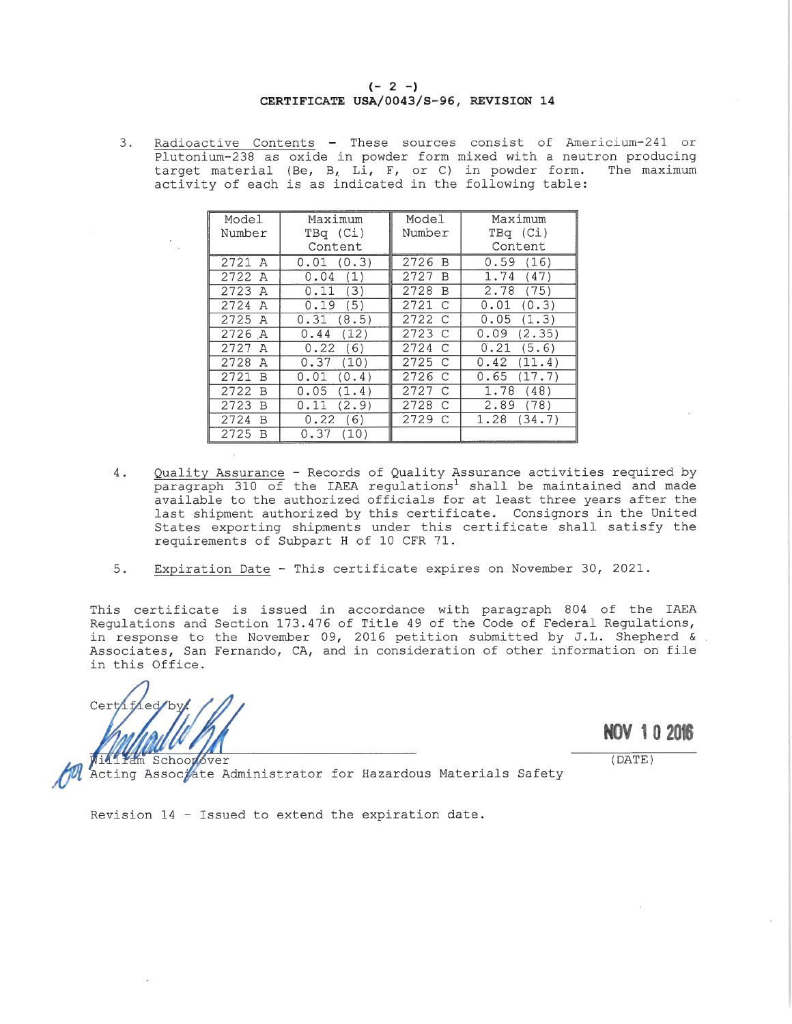Radioactive Contents - These sources consist of Americium-241 or  $3.$ Plutonium-238 as oxide in powder form mixed with a neutron producing target material (Be, B, Li, F, or C) in powder form. The maximum<br>activity of each is as indicated in the following table:

| Model     | Maximum       | Model                  | Maximum        |
|-----------|---------------|------------------------|----------------|
| Number    | TBq (Ci)      | Number                 | TBq (Ci)       |
| Content   |               |                        | Content        |
| 2721<br>A | 0.01(0.3)     | 2726<br><b>B</b>       | 0.59(16)       |
| 2722<br>A | 0.04(1)       | 2727<br>B              | 1.74<br>(47)   |
| 2723 A    | 0.11(3)       | 2728<br>B              | 2.78<br>(75)   |
| 2724 A    | 0.19(5)       | 2721<br>$\cap$         | (0.3)<br>0.01  |
| 2725 A    | 0.31(8.5)     | 2722 C                 | 0.05(1.3)      |
| 2726 A    | (12)<br>0.44  | 2723 C                 | 0.09<br>(2.35) |
| 2727 A    | 0.22(6)       | 2724<br>$\overline{C}$ | 0.21<br>(5.6)  |
| 2728<br>A | 0.37<br>(10)  | 2725 C                 | (11.4)<br>0.42 |
| 2721<br>B | 0.01<br>(0.4) | 2726 C                 | 0.65<br>(17.7) |
| 2722<br>B | 0.05<br>(1.4) | 2727 C                 | 1.78<br>(48)   |
| 2723<br>R | 0.11<br>(2.9) | 2728<br>C              | 2.89<br>(78)   |
| 2724<br>B | 0.22<br>(6)   | 2729 C                 | 1.28<br>(34.7) |
| 2725<br>В | 0.37<br>(10)  |                        |                |

- Quality Assurance Records of Quality Assurance activities required by 4. paragraph 310 of the IAEA regulations<sup>1</sup> shall be maintained and made available to the authorized officials for at least three years after the last shipment authorized by this certificate. Consignors in the United States exporting shipments under this certificate shall satisfy the requirements of Subpart H of 10 CFR 71.
- $5.$ Expiration Date - This certificate expires on November 30, 2021.

This certificate is issued in accordance with paragraph 804 of the IAEA Requlations and Section 173.476 of Title 49 of the Code of Federal Regulations, in response to the November 09, 2016 petition submitted by J.L. Shepherd & . Associates, San Fernando, CA, and in consideration of other information on file in this Office.

Certh

**NOV 102016** 

 $(DATE)$ 

m Schoonover Acting Associate Administrator for Hazardous Materials Safety

Revision 14 - Issued to extend the expiration date.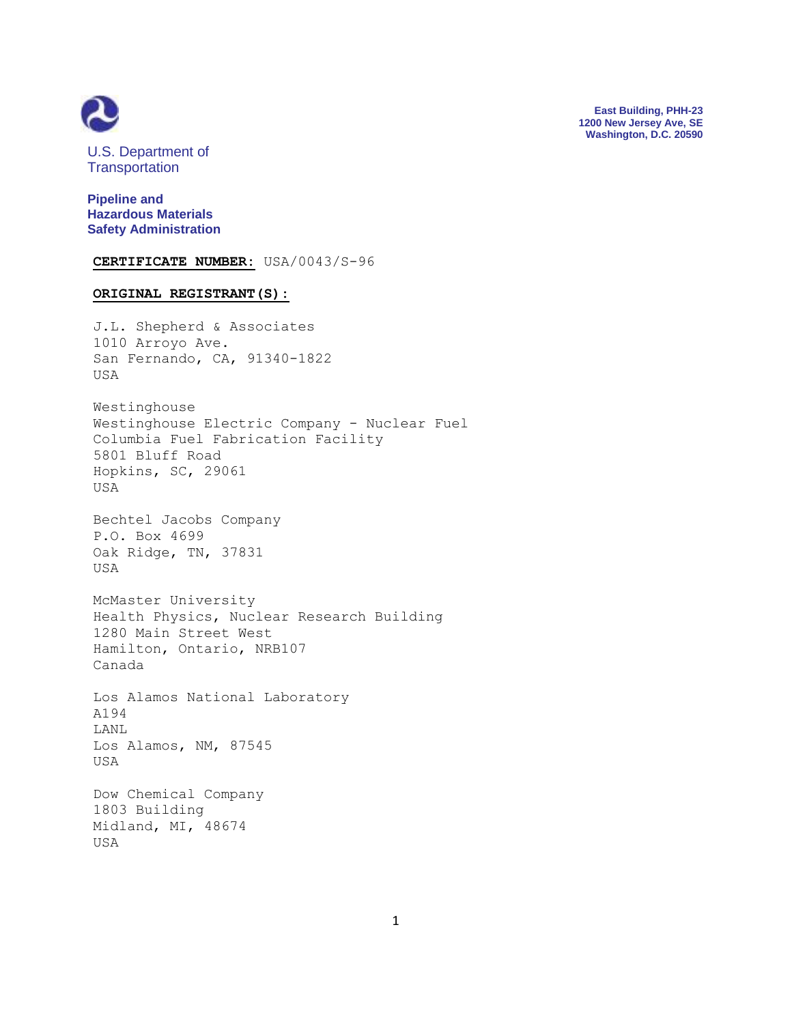

**East Building, PHH-23 1200 New Jersey Ave, SE Washington, D.C. 20590**

U.S. Department of **Transportation** 

**Pipeline and Hazardous Materials Safety Administration**

**CERTIFICATE NUMBER:** USA/0043/S-96

## **ORIGINAL REGISTRANT(S):**

J.L. Shepherd & Associates 1010 Arroyo Ave. San Fernando, CA, 91340-1822 USA

Westinghouse Westinghouse Electric Company - Nuclear Fuel Columbia Fuel Fabrication Facility 5801 Bluff Road Hopkins, SC, 29061 USA

Bechtel Jacobs Company P.O. Box 4699 Oak Ridge, TN, 37831 USA

McMaster University Health Physics, Nuclear Research Building 1280 Main Street West Hamilton, Ontario, NRB107 Canada

Los Alamos National Laboratory A194 LANL Los Alamos, NM, 87545 USA

Dow Chemical Company 1803 Building Midland, MI, 48674 USA